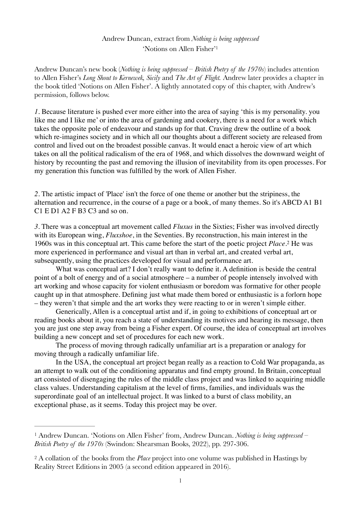## <span id="page-0-2"></span>Andrew Duncan, extract from *Nothing is being suppressed* 'Notions on Allen Fisher'[1](#page-0-0)

Andrew Duncan's new book (*Nothing is being suppressed – British Poetry of the 1970s*) includes attention to Allen Fisher's *Long Shout to Kernewek, Sicily* and *The Art of Flight.* Andrew later provides a chapter in the book titled 'Notions on Allen Fisher'. A lightly annotated copy of this chapter, with Andrew's permission, follows below.

*1.* Because literature is pushed ever more either into the area of saying 'this is my personality. you like me and I like me' or into the area of gardening and cookery, there is a need for a work which takes the opposite pole of endeavour and stands up for that. Craving drew the outline of a book which re-imagines society and in which all our thoughts about a different society are released from control and lived out on the broadest possible canvas. It would enact a heroic view of art which takes on all the political radicalism of the era of 1968, and which dissolves the downward weight of history by recounting the past and removing the illusion of inevitability from its open processes. For my generation this function was fulfilled by the work of Allen Fisher.

*2.* The artistic impact of 'Place' isn't the force of one theme or another but the stripiness, the alternation and recurrence, in the course of a page or a book, of many themes. So it's ABCD A1 B1 C1 E D1 A2 F B3 C3 and so on.

<span id="page-0-3"></span>*3.* There was a conceptual art movement called *Fluxus* in the Sixties; Fisher was involved directly with its European wing, *Fluxshoe*, in the Seventies. By reconstruction, his main interest in the 1960s was in this conceptual art[.](#page-0-1) This came before the start of the poetic project *Place*.<sup>[2](#page-0-1)</sup> He was more experienced in performance and visual art than in verbal art, and created verbal art, subsequently, using the practices developed for visual and performance art.

What was conceptual art? I don't really want to define it. A definition is beside the central point of a bolt of energy and of a social atmosphere – a number of people intensely involved with art working and whose capacity for violent enthusiasm or boredom was formative for other people caught up in that atmosphere. Defining just what made them bored or enthusiastic is a forlorn hope – they weren't that simple and the art works they were reacting to or in weren't simple either.

Generically, Allen is a conceptual artist and if, in going to exhibitions of conceptual art or reading books about it, you reach a state of understanding its motives and hearing its message, then you are just one step away from being a Fisher expert. Of course, the idea of conceptual art involves building a new concept and set of procedures for each new work.

The process of moving through radically unfamiliar art is a preparation or analogy for moving through a radically unfamiliar life.

In the USA, the conceptual art project began really as a reaction to Cold War propaganda, as an attempt to walk out of the conditioning apparatus and find empty ground. In Britain, conceptual art consisted of disengaging the rules of the middle class project and was linked to acquiring middle class values. Understanding capitalism at the level of firms, families, and individuals was the superordinate goal of an intellectual project. It was linked to a burst of class mobility, an exceptional phase, as it seems. Today this project may be over.

<span id="page-0-0"></span>Andrew Duncan. 'Notions on Allen Fisher' from, Andrew Duncan. *Nothing is being suppressed –* [1](#page-0-2) *British Poetry of the 1970s* (Swindon: Shearsman Books, 2022), pp. 297-306.

<span id="page-0-1"></span>A collation of the books from the *Place* project into one volume was published in Hastings by [2](#page-0-3) Reality Street Editions in 2005 (a second edition appeared in 2016).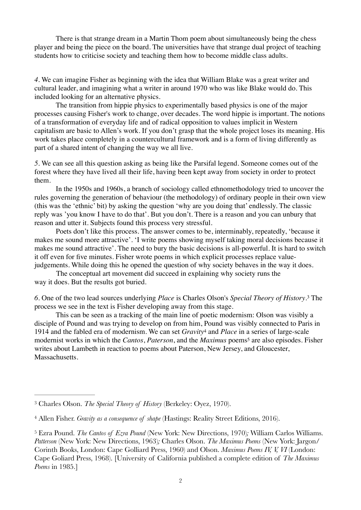There is that strange dream in a Martin Thom poem about simultaneously being the chess player and being the piece on the board. The universities have that strange dual project of teaching students how to criticise society and teaching them how to become middle class adults.

*4.* We can imagine Fisher as beginning with the idea that William Blake was a great writer and cultural leader, and imagining what a writer in around 1970 who was like Blake would do. This included looking for an alternative physics.

The transition from hippie physics to experimentally based physics is one of the major processes causing Fisher's work to change, over decades. The word hippie is important. The notions of a transformation of everyday life and of radical opposition to values implicit in Western capitalism are basic to Allen's work. If you don't grasp that the whole project loses its meaning. His work takes place completely in a countercultural framework and is a form of living differently as part of a shared intent of changing the way we all live.

*5.* We can see all this question asking as being like the Parsifal legend. Someone comes out of the forest where they have lived all their life, having been kept away from society in order to protect them.

In the 1950s and 1960s, a branch of sociology called ethnomethodology tried to uncover the rules governing the generation of behaviour (the methodology) of ordinary people in their own view (this was the 'ethnic' bit) by asking the question 'why are you doing that' endlessly. The classic reply was 'you know I have to do that'. But you don't. There is a reason and you can unbury that reason and utter it. Subjects found this process very stressful.

Poets don't like this process. The answer comes to be, interminably, repeatedly, 'because it makes me sound more attractive'. 'I write poems showing myself taking moral decisions because it makes me sound attractive'. The need to bury the basic decisions is all-powerful. It is hard to switch it off even for five minutes. Fisher wrote poems in which explicit processes replace valuejudgements. While doing this he opened the question of why society behaves in the way it does.

The conceptual art movement did succeed in explaining why society runs the way it does. But the results got buried.

<span id="page-1-3"></span>*6.* One of the two lead sources underlying *Place* is Charles Olson's *Special Theory of History*[.](#page-1-0) The [3](#page-1-0) process we see in the text is Fisher developing away from this stage.

<span id="page-1-5"></span><span id="page-1-4"></span>This can be seen as a tracking of the main line of poetic modernism: Olson was visibly a disciple of Pound and was trying to develop on from him, Pound was visibly connected to Paris in 1914 and the fabled era of modernism. We can set *Gravity* and *Place* in a series of large-scale [4](#page-1-1) modernistworks in which the *Cantos*, *Paterson*, and the *Maximus* poems<sup>[5](#page-1-2)</sup> are also episodes. Fisher writes about Lambeth in reaction to poems about Paterson, New Jersey, and Gloucester, Massachusetts.

<span id="page-1-0"></span><sup>&</sup>lt;sup>[3](#page-1-3)</sup> Charles Olson. *The Special Theory of History* (Berkeley: Oyez, 1970).

<span id="page-1-1"></span><sup>&</sup>lt;sup>[4](#page-1-4)</sup> Allen Fisher. *Gravity as a consequence of shape* (Hastings: Reality Street Editions, 2016).

<span id="page-1-2"></span>Ezra Pound. *The Cantos of Ezra Pound* (New York: New Directions, 1970)*;* William Carlos Williams. [5](#page-1-5) *Patterson* (New York: New Directions, 1963)*;* Charles Olson. *The Maximus Poems* (New York: Jargon/ Corinth Books, London: Cape Golliard Press, 1960) and Olson. *Maximus Poems IV, V, VI* (London: Cape Goliard Press, 1968). [University of California published a complete edition of *The Maximus Poems* in 1985.]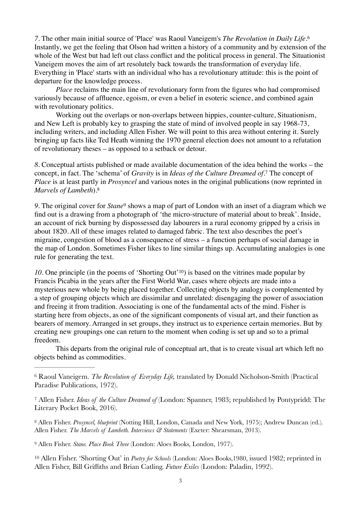<span id="page-2-5"></span>*7.* The other main initial source of 'Place' was Raoul Vaneigem's *The Revolution in Daily Life*.[6](#page-2-0) Instantly, we get the feeling that Olson had written a history of a community and by extension of the whole of the West but had left out class conflict and the political process in general. The Situationist Vaneigem moves the aim of art resolutely back towards the transformation of everyday life. Everything in 'Place' starts with an individual who has a revolutionary attitude: this is the point of departure for the knowledge process.

*Place* reclaims the main line of revolutionary form from the figures who had compromised variously because of affluence, egoism, or even a belief in esoteric science, and combined again with revolutionary politics.

Working out the overlaps or non-overlaps between hippies, counter-culture, Situationism, and New Left is probably key to grasping the state of mind of involved people in say 1968-73, including writers, and including Allen Fisher. We will point to this area without entering it. Surely bringing up facts like Ted Heath winning the 1970 general election does not amount to a refutation of revolutionary theses – as opposed to a setback or detour.

<span id="page-2-6"></span>*8.* Conceptual artists published or made available documentation of the idea behind the works – the concept,in fact. The 'schema' of *Gravity* is in *Ideas of the Culture Dreamed of*.<sup>[7](#page-2-1)</sup> The concept of *Place* is at least partly in *Prosyncel* and various notes in the original publications (now reprinted in *Marvels of Lambeth*)[.8](#page-2-2)

<span id="page-2-8"></span><span id="page-2-7"></span>9.The original cover for *Stane*<sup>[9](#page-2-3)</sup> shows a map of part of London with an inset of a diagram which we find out is a drawing from a photograph of 'the micro-structure of material about to break'. Inside, an account of rick burning by dispossessed day labourers in a rural economy gripped by a crisis in about 1820. All of these images related to damaged fabric. The text also describes the poet's migraine, congestion of blood as a consequence of stress – a function perhaps of social damage in the map of London. Sometimes Fisher likes to line similar things up. Accumulating analogies is one rule for generating the text.

<span id="page-2-9"></span>*[10](#page-2-4).* One principle (in the poems of 'Shorting Out'<sup>10</sup>[\)](#page-2-4) is based on the vitrines made popular by Francis Picabia in the years after the First World War, cases where objects are made into a mysterious new whole by being placed together. Collecting objects by analogy is complemented by a step of grouping objects which are dissimilar and unrelated: disengaging the power of association and freeing it from tradition. Associating is one of the fundamental acts of the mind. Fisher is starting here from objects, as one of the significant components of visual art, and their function as bearers of memory. Arranged in set groups, they instruct us to experience certain memories. But by creating new groupings one can return to the moment when coding is set up and so to a primal freedom.

This departs from the original rule of conceptual art, that is to create visual art which left no objects behind as commodities.

<span id="page-2-0"></span> Raoul Vaneigem. *The Revolution of Everyday Life,* translated by Donald Nicholson-Smith (Practical [6](#page-2-5) Paradise Publications, 1972).

<span id="page-2-1"></span> Allen Fisher. *Ideas of the Culture Dreamed of* (London: Spanner, 1983; republished by Pontypridd: The [7](#page-2-6) Literary Pocket Book, 2016).

<span id="page-2-2"></span> Allen Fisher. *Prosyncel, blueprint* (Notting Hill, London, Canada and New York, 1975); Andrew Duncan (ed.). [8](#page-2-7) Allen Fisher. *The Marvels of Lambeth. Interviews & Statements* (Exeter: Shearsman, 2013).

<span id="page-2-3"></span><sup>[9](#page-2-8)</sup> Allen Fisher. *Stane. Place Book Three* (London: Aloes Books, London, 1977).

<span id="page-2-4"></span><sup>[10](#page-2-9)</sup> Allen Fisher. 'Shorting Out' in *Poetry for Schools* (London: Aloes Books,1980, issued 1982; reprinted in Allen Fisher, Bill Griffiths and Brian Catling. *Future Exiles* (London: Paladin, 1992).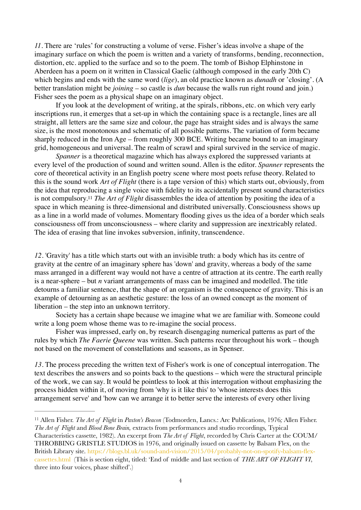*11.* There are 'rules' for constructing a volume of verse. Fisher's ideas involve a shape of the imaginary surface on which the poem is written and a variety of transforms, bending, reconnection, distortion, etc. applied to the surface and so to the poem. The tomb of Bishop Elphinstone in Aberdeen has a poem on it written in Classical Gaelic (although composed in the early 20th C) which begins and ends with the same word (*lige*), an old practice known as *dunadh* or 'closing'. (A better translation might be *joining* – so castle is *dun* because the walls run right round and join.) Fisher sees the poem as a physical shape on an imaginary object.

If you look at the development of writing, at the spirals, ribbons, etc. on which very early inscriptions run, it emerges that a set-up in which the containing space is a rectangle, lines are all straight, all letters are the same size and colour, the page has straight sides and is always the same size, is the most monotonous and schematic of all possible patterns. The variation of form became sharply reduced in the Iron Age – from roughly 300 BCE. Writing became bound to an imaginary grid, homogeneous and universal. The realm of scrawl and spiral survived in the service of magic.

<span id="page-3-1"></span>*Spanner* is a theoretical magazine which has always explored the suppressed variants at every level of the production of sound and written sound. Allen is the editor. *Spanner* represents the core of theoretical activity in an English poetry scene where most poets refuse theory. Related to this is the sound work *Art of Flight* (there is a tape version of this) which starts out, obviously, from the idea that reproducing a single voice with fidelity to its accidentally present sound characteristics is not compulsory.<sup>[11](#page-3-0)</sup> The Art of Flight disassembles the idea of attention by positing the idea of a space in which meaning is three-dimensional and distributed universally. Consciousness shows up as a line in a world made of volumes. Momentary flooding gives us the idea of a border which seals consciousness off from unconsciousness – where clarity and suppression are inextricably related. The idea of erasing that line invokes subversion, infinity, transcendence.

*12.* 'Gravity' has a title which starts out with an invisible truth: a body which has its centre of gravity at the centre of an imaginary sphere has 'down' and gravity, whereas a body of the same mass arranged in a different way would not have a centre of attraction at its centre. The earth really is a near-sphere – but *n* variant arrangements of mass can be imagined and modelled. The title detourns a familiar sentence, that the shape of an organism is the consequence of gravity. This is an example of detourning as an aesthetic gesture: the loss of an owned concept as the moment of liberation – the step into an unknown territory.

Society has a certain shape because we imagine what we are familiar with. Someone could write a long poem whose theme was to re-imagine the social process.

Fisher was impressed, early on, by research disengaging numerical patterns as part of the rules by which *The Faerie Queene* was written. Such patterns recur throughout his work – though not based on the movement of constellations and seasons, as in Spenser.

*13.* The process preceding the written text of Fisher's work is one of conceptual interrogation. The text describes the answers and so points back to the questions – which were the structural principle of the work, we can say. It would be pointless to look at this interrogation without emphasizing the process hidden within it, of moving from 'why is it like this' to 'whose interests does this arrangement serve' and 'how can we arrange it to better serve the interests of every other living

<span id="page-3-0"></span><sup>&</sup>lt;sup>[11](#page-3-1)</sup> Allen Fisher. *The Art of Flight* in *Paxton's Beacon* (Todmorden, Lancs.: Arc Publications, 1976; Allen Fisher. *The Art of Flight* and *Blood Bone Brain,* extracts from performances and studio recordings*,* Typical Characteristics cassette, 1982). An excerpt from *The Art of Flight*, recorded by Chris Carter at the COUM/ THROBBING GRISTLE STUDIOS in 1976, and originally issued on cassette by Balsam Flex, on the British Library site. [https://blogs.bl.uk/sound-and-vision/2015/04/probably-not-on-spotify-balsam-flex](https://blogs.bl.uk/sound-and-vision/2015/04/probably-not-on-spotify-balsam-flex-cassettes.html)[cassettes.html](https://blogs.bl.uk/sound-and-vision/2015/04/probably-not-on-spotify-balsam-flex-cassettes.html) (This is section eight, titled: 'End of middle and last section of *THE ART OF FLIGHT VI*, three into four voices, phase shifted'.)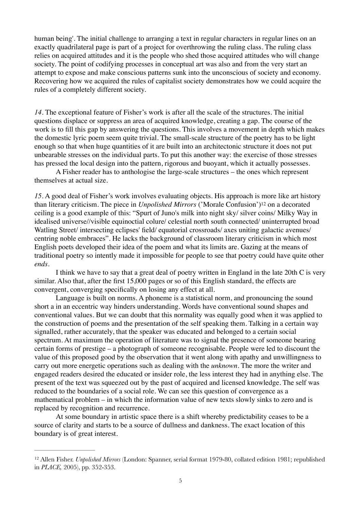human being'. The initial challenge to arranging a text in regular characters in regular lines on an exactly quadrilateral page is part of a project for overthrowing the ruling class. The ruling class relies on acquired attitudes and it is the people who shed those acquired attitudes who will change society. The point of codifying processes in conceptual art was also and from the very start an attempt to expose and make conscious patterns sunk into the unconscious of society and economy. Recovering how we acquired the rules of capitalist society demonstrates how we could acquire the rules of a completely different society.

*14.* The exceptional feature of Fisher's work is after all the scale of the structures. The initial questions displace or suppress an area of acquired knowledge, creating a gap. The course of the work is to fill this gap by answering the questions. This involves a movement in depth which makes the domestic lyric poem seem quite trivial. The small-scale structure of the poetry has to be light enough so that when huge quantities of it are built into an architectonic structure it does not put unbearable stresses on the individual parts. To put this another way: the exercise of those stresses has pressed the local design into the pattern, rigorous and buoyant, which it actually possesses.

A Fisher reader has to anthologise the large-scale structures – the ones which represent themselves at actual size.

<span id="page-4-1"></span>*15.* A good deal of Fisher's work involves evaluating objects. His approach is more like art history thanliterary criticism. The piece in *Unpolished Mirrors* ('Morale Confusion')<sup>[12](#page-4-0)</sup> on a decorated ceiling is a good example of this: "Spurt of Juno's milk into night sky/ silver coins/ Milky Way in idealised universe//visible equinoctial colure/ celestial north south connected/ uninterrupted broad Watling Street/ intersecting eclipses' field/ equatorial crossroads/ axes uniting galactic avenues/ centring noble embraces". He lacks the background of classroom literary criticism in which most English poets developed their idea of the poem and what its limits are. Gazing at the means of traditional poetry so intently made it impossible for people to see that poetry could have quite other *ends*.

I think we have to say that a great deal of poetry written in England in the late 20th C is very similar. Also that, after the first 15,000 pages or so of this English standard, the effects are convergent, converging specifically on losing any effect at all.

Language is built on norms. A phoneme is a statistical norm, and pronouncing the sound short a in an eccentric way hinders understanding. Words have conventional sound shapes and conventional values. But we can doubt that this normality was equally good when it was applied to the construction of poems and the presentation of the self speaking them. Talking in a certain way signalled, rather accurately, that the speaker was educated and belonged to a certain social spectrum. At maximum the operation of literature was to signal the presence of someone bearing certain forms of prestige – a photograph of someone recognisable. People were led to discount the value of this proposed good by the observation that it went along with apathy and unwillingness to carry out more energetic operations such as dealing with the *unknown*. The more the writer and engaged readers desired the educated or insider role, the less interest they had in anything else. The present of the text was squeezed out by the past of acquired and licensed knowledge. The self was reduced to the boundaries of a social role. We can see this question of convergence as a mathematical problem – in which the information value of new texts slowly sinks to zero and is replaced by recognition and recurrence.

At some boundary in artistic space there is a shift whereby predictability ceases to be a source of clarity and starts to be a source of dullness and dankness. The exact location of this boundary is of great interest.

<span id="page-4-0"></span><sup>&</sup>lt;sup>[12](#page-4-1)</sup> Allen Fisher. *Unpolished Mirrors* (London: Spanner, serial format 1979-80, collated edition 1981; republished in *PLACE,* 2005), pp. 352-353.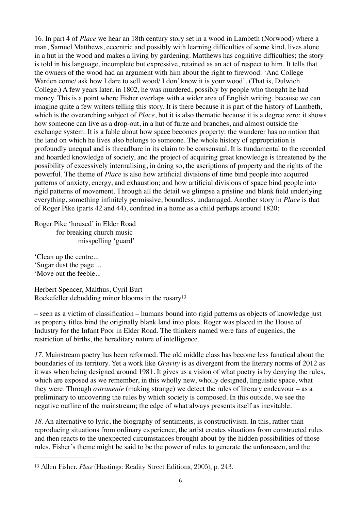16. In part 4 of *Place* we hear an 18th century story set in a wood in Lambeth (Norwood) where a man, Samuel Matthews, eccentric and possibly with learning difficulties of some kind, lives alone in a hut in the wood and makes a living by gardening. Matthews has cognitive difficulties; the story is told in his language, incomplete but expressive, retained as an act of respect to him. It tells that the owners of the wood had an argument with him about the right to firewood: 'And College Warden come/ ask how I dare to sell wood/ I don' know it is your wood'. (That is, Dulwich College.) A few years later, in 1802, he was murdered, possibly by people who thought he had money. This is a point where Fisher overlaps with a wider area of English writing, because we can imagine quite a few writers telling this story. It is there because it is part of the history of Lambeth, which is the overarching subject of *Place*, but it is also thematic because it is a degree zero: it shows how someone can live as a drop-out, in a hut of furze and branches, and almost outside the exchange system. It is a fable about how space becomes property: the wanderer has no notion that the land on which he lives also belongs to someone. The whole history of appropriation is profoundly unequal and is threadbare in its claim to be consensual. It is fundamental to the recorded and hoarded knowledge of society, and the project of acquiring great knowledge is threatened by the possibility of excessively internalising, in doing so, the ascriptions of property and the rights of the powerful. The theme of *Place* is also how artificial divisions of time bind people into acquired patterns of anxiety, energy, and exhaustion; and how artificial divisions of space bind people into rigid patterns of movement. Through all the detail we glimpse a pristine and blank field underlying everything, something infinitely permissive, boundless, undamaged. Another story in *Place* is that of Roger Pike (parts 42 and 44), confined in a home as a child perhaps around 1820:

Roger Pike 'housed' in Elder Road for breaking church music misspelling 'guard'

'Clean up the centre... 'Sugar dust the page ... 'Move out the feeble...

<span id="page-5-1"></span>Herbert Spencer, Malthus, Cyril Burt Rockefeller debudding minor blooms in the rosar[y13](#page-5-0)

– seen as a victim of classification – humans bound into rigid patterns as objects of knowledge just as property titles bind the originally blank land into plots. Roger was placed in the House of Industry for the Infant Poor in Elder Road. The thinkers named were fans of eugenics, the restriction of births, the hereditary nature of intelligence.

*17.* Mainstream poetry has been reformed. The old middle class has become less fanatical about the boundaries of its territory. Yet a work like *Gravity* is as divergent from the literary norms of 2012 as it was when being designed around 1981. It gives us a vision of what poetry is by denying the rules, which are exposed as we remember, in this wholly new, wholly designed, linguistic space, what they were. Through *ostranenie* (making strange) we detect the rules of literary endeavour – as a preliminary to uncovering the rules by which society is composed. In this outside, we see the negative outline of the mainstream; the edge of what always presents itself as inevitable.

*18.* An alternative to lyric, the biography of sentiments, is constructivism. In this, rather than reproducing situations from ordinary experience, the artist creates situations from constructed rules and then reacts to the unexpected circumstances brought about by the hidden possibilities of those rules. Fisher's theme might be said to be the power of rules to generate the unforeseen, and the

<span id="page-5-0"></span><sup>&</sup>lt;sup>[13](#page-5-1)</sup> Allen Fisher. *Place* (Hastings: Reality Street Editions, 2005), p. 243.